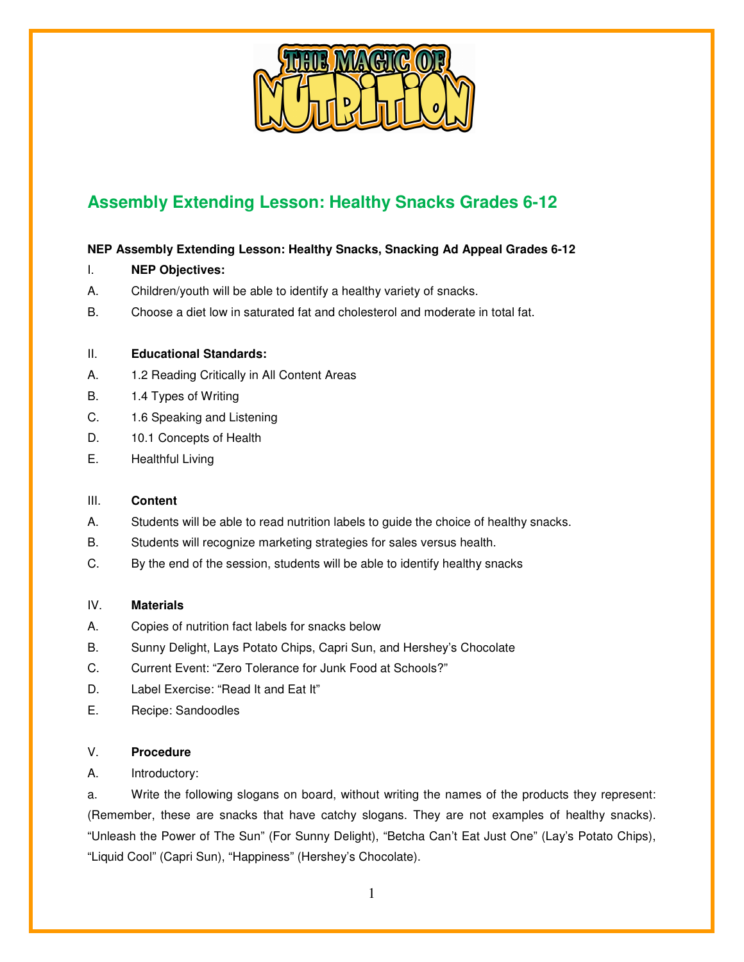

# **Assembly Extending Lesson: Healthy Snacks Grades 6-12**

## **NEP Assembly Extending Lesson: Healthy Snacks, Snacking Ad Appeal Grades 6-12**

- I. **NEP Objectives:**
- A. Children/youth will be able to identify a healthy variety of snacks.
- B. Choose a diet low in saturated fat and cholesterol and moderate in total fat.

#### II. **Educational Standards:**

- A. 1.2 Reading Critically in All Content Areas
- B. 1.4 Types of Writing
- C. 1.6 Speaking and Listening
- D. 10.1 Concepts of Health
- E. Healthful Living

## III. **Content**

- A. Students will be able to read nutrition labels to guide the choice of healthy snacks.
- B. Students will recognize marketing strategies for sales versus health.
- C. By the end of the session, students will be able to identify healthy snacks

## IV. **Materials**

- A. Copies of nutrition fact labels for snacks below
- B. Sunny Delight, Lays Potato Chips, Capri Sun, and Hershey's Chocolate
- C. Current Event: "Zero Tolerance for Junk Food at Schools?"
- D. Label Exercise: "Read It and Eat It"
- E. Recipe: Sandoodles

## V. **Procedure**

A. Introductory:

a. Write the following slogans on board, without writing the names of the products they represent: (Remember, these are snacks that have catchy slogans. They are not examples of healthy snacks). "Unleash the Power of The Sun" (For Sunny Delight), "Betcha Can't Eat Just One" (Lay's Potato Chips), "Liquid Cool" (Capri Sun), "Happiness" (Hershey's Chocolate).